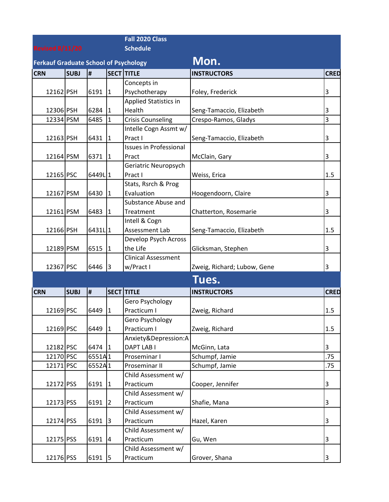|                                              |             |                    |                | Fall 2020 Class                  |                             |             |
|----------------------------------------------|-------------|--------------------|----------------|----------------------------------|-----------------------------|-------------|
| <b>Revised 8/11/20</b>                       |             |                    |                | <b>Schedule</b>                  |                             |             |
| <b>Ferkauf Graduate School of Psychology</b> |             |                    |                |                                  | Mon.                        |             |
| <b>CRN</b>                                   | <b>SUBJ</b> | Ħ,                 |                | <b>SECT TITLE</b>                | <b>INSTRUCTORS</b>          | <b>CRED</b> |
|                                              |             |                    |                | Concepts in                      |                             |             |
| 12162 PSH                                    |             | 6191               | 11             | Psychotherapy                    | Foley, Frederick            | 3           |
|                                              |             |                    |                | <b>Applied Statistics in</b>     |                             |             |
| 12306 PSH                                    |             | 6284               | $\overline{1}$ | Health                           | Seng-Tamaccio, Elizabeth    | 3           |
| 12334 PSM                                    |             | 6485               | $\overline{1}$ | <b>Crisis Counseling</b>         | Crespo-Ramos, Gladys        | 3           |
|                                              |             |                    |                | Intelle Cogn Assmt w/            |                             |             |
| 12163 PSH                                    |             | 6431               | $\overline{1}$ | Pract I                          | Seng-Tamaccio, Elizabeth    | 3           |
|                                              |             |                    |                | <b>Issues in Professional</b>    |                             |             |
| 12164 PSM                                    |             | 6371               | $\mathbf{1}$   | Pract                            | McClain, Gary               | 3           |
|                                              |             |                    |                | Geriatric Neuropsych             |                             |             |
| 12165 PSC                                    |             | 6449L1             |                | Pract I                          | Weiss, Erica                | 1.5         |
|                                              |             |                    |                | Stats, Rsrch & Prog              |                             |             |
| 12167 PSM                                    |             | 6430               | 11             | Evaluation                       | Hoogendoorn, Claire         | 3           |
|                                              |             |                    |                | Substance Abuse and              |                             |             |
| 12161 PSM                                    |             | 6483               | $\vert$ 1      | Treatment                        | Chatterton, Rosemarie       | 3           |
|                                              |             |                    |                | Intell & Cogn                    |                             |             |
| 12166 PSH                                    |             | 6431L <sub>1</sub> |                | Assessment Lab                   | Seng-Tamaccio, Elizabeth    | 1.5         |
| 12189 PSM                                    |             | 6515               |                | Develop Psych Across<br>the Life |                             |             |
|                                              |             |                    | $\overline{1}$ | <b>Clinical Assessment</b>       | Glicksman, Stephen          | 3           |
| 12367 PSC                                    |             | 6446               | 3              | w/Pract I                        | Zweig, Richard; Lubow, Gene | 3           |
|                                              |             |                    |                |                                  |                             |             |
|                                              |             |                    |                |                                  | Tues.                       |             |
| <b>CRN</b>                                   | <b>SUBJ</b> | $\pmb{\sharp}$     |                | <b>SECT TITLE</b>                | <b>INSTRUCTORS</b>          | <b>CRED</b> |
|                                              |             |                    |                | Gero Psychology                  |                             |             |
| 12169 PSC                                    |             | 6449               | $\mathbf{1}$   | Practicum I                      | Zweig, Richard              | 1.5         |
|                                              |             |                    |                | Gero Psychology                  |                             |             |
| 12169 PSC                                    |             | 6449               | 1              | Practicum I                      | Zweig, Richard              | 1.5         |
|                                              |             |                    |                | Anxiety&Depression:A             |                             |             |
| 12182 PSC                                    |             | 6474               | 1              | DAPT LAB I                       | McGinn, Lata                | 3           |
| 12170 PSC                                    |             | 6551A1             |                | Proseminar I                     | Schumpf, Jamie              | .75         |
| 12171 PSC                                    |             | 6552A1             |                | Proseminar II                    | Schumpf, Jamie              | .75         |
| 12172 PSS                                    |             | 6191               |                | Child Assessment w/<br>Practicum |                             |             |
|                                              |             |                    | 1              | Child Assessment w/              | Cooper, Jennifer            | 3           |
| 12173 PSS                                    |             | 6191               | 2              | Practicum                        | Shafie, Mana                | 3           |
|                                              |             |                    |                | Child Assessment w/              |                             |             |
| 12174 PSS                                    |             | 6191               | 13             | Practicum                        | Hazel, Karen                | 3           |
|                                              |             |                    |                | Child Assessment w/              |                             |             |
| 12175 PSS                                    |             | 6191               | 4              | Practicum                        | Gu, Wen                     | 3           |
|                                              |             |                    |                | Child Assessment w/              |                             |             |
| 12176 PSS                                    |             | 6191               | 5              | Practicum                        | Grover, Shana               | 3           |
|                                              |             |                    |                |                                  |                             |             |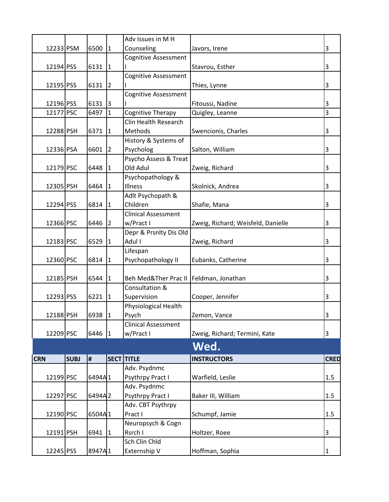|            |             |           |             | Adv Issues in M H           |                                    |             |
|------------|-------------|-----------|-------------|-----------------------------|------------------------------------|-------------|
| 12233 PSM  |             | 6500      |             | Counseling                  | Javors, Irene                      | 3           |
|            |             |           | 1           |                             |                                    |             |
|            |             |           |             | <b>Cognitive Assessment</b> |                                    |             |
| 12194 PSS  |             | 6131      | 1           |                             | Stavrou, Esther                    | 3           |
|            |             |           |             | <b>Cognitive Assessment</b> |                                    |             |
| 12195 PSS  |             | 6131      | 12          |                             | Thies, Lynne                       | 3           |
|            |             |           |             | Cognitive Assessment        |                                    |             |
| 12196 PSS  |             | 6131      | $\vert$ 3   |                             | Fitoussi, Nadine                   | 3           |
| 12177 PSC  |             | 6497      | I1          | Cognitive Therapy           | Quigley, Leanne                    | 3           |
|            |             |           |             | Clin Health Research        |                                    |             |
| 12288 PSH  |             | 6371      | 11          | Methods                     | Swencionis, Charles                | 3           |
|            |             |           |             | History & Systems of        |                                    |             |
| 12336 PSA  |             | 6601      | 12          | Psycholog                   | Salton, William                    | 3           |
|            |             |           |             | Psycho Assess & Treat       |                                    |             |
| 12179 PSC  |             | 6448      | 11          | Old Adul                    | Zweig, Richard                     | 3           |
|            |             |           |             | Psychopathology &           |                                    |             |
| 12305 PSH  |             | 6464      | 1           | Illness                     | Skolnick, Andrea                   | 3           |
|            |             |           |             | Adlt Psychopath &           |                                    |             |
| 12294 PSS  |             | 6814      | 1           | Children                    | Shafie, Mana                       | 3           |
|            |             |           |             | <b>Clinical Assessment</b>  |                                    |             |
| 12366 PSC  |             | 6446      | 12          | w/Pract I                   |                                    | 3           |
|            |             |           |             |                             | Zweig, Richard; Weisfeld, Danielle |             |
|            |             |           |             | Depr & Prsnlty Dis Old      |                                    |             |
| 12183 PSC  |             | 6529      | 11          | Adul I                      | Zweig, Richard                     | 3           |
|            |             |           |             | Lifespan                    |                                    |             |
| 12360 PSC  |             | 6814      | 11          | Psychopathology II          | Eubanks, Catherine                 | 3           |
|            |             |           |             |                             |                                    |             |
| 12185 PSH  |             | 6544      | $ 1\rangle$ | Beh Med&Ther Prac II        | Feldman, Jonathan                  | 3           |
|            |             |           |             | Consultation &              |                                    |             |
| 12293 PSS  |             | $6221$  1 |             | Supervision                 | Cooper, Jennifer                   | 3           |
|            |             |           |             | Physiological Health        |                                    |             |
| 12188 PSH  |             | 6938 1    |             | Psych                       | Zemon, Vance                       | 3           |
|            |             |           |             | <b>Clinical Assessment</b>  |                                    |             |
| 12209 PSC  |             | 6446 1    |             | w/Pract I                   | Zweig, Richard; Termini, Kate      | $\mathsf 3$ |
|            |             |           |             |                             | Wed.                               |             |
|            |             |           |             |                             |                                    |             |
| <b>CRN</b> | <b>SUBJ</b> | #         |             | <b>SECT TITLE</b>           | <b>INSTRUCTORS</b>                 | <b>CRED</b> |
|            |             |           |             | Adv. Psydnmc                |                                    |             |
| 12199 PSC  |             | 6494A1    |             | Psythrpy Pract I            | Warfield, Leslie                   | 1.5         |
|            |             |           |             | Adv. Psydnmc                |                                    |             |
| 12297 PSC  |             | 6494A2    |             | Psythrpy Pract I            | Baker III, William                 | 1.5         |
|            |             |           |             | Adv. CBT Psythrpy           |                                    |             |
| 12190 PSC  |             | 6504A1    |             | Pract I                     | Schumpf, Jamie                     | 1.5         |
|            |             |           |             | Neuropsych & Cogn           |                                    |             |
| 12191 PSH  |             | 6941 1    |             | Rsrch I                     | Holtzer, Roee                      | 3           |
|            |             |           |             | Sch Clin Chld               |                                    |             |
| 12245 PSS  |             | 8947A1    |             | Externship V                | Hoffman, Sophia                    | 1           |
|            |             |           |             |                             |                                    |             |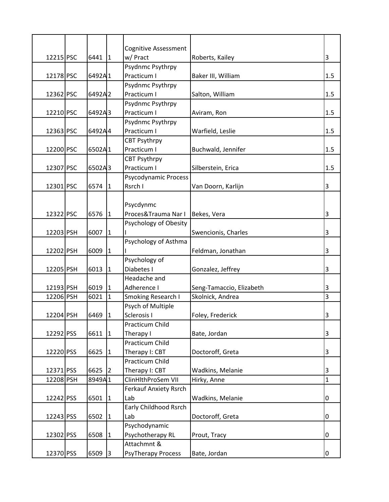|           |        |                | <b>Cognitive Assessment</b>        |                          |              |
|-----------|--------|----------------|------------------------------------|--------------------------|--------------|
| 12215 PSC | 6441   | $\mathbf{1}$   | w/ Pract                           | Roberts, Kailey          | 3            |
|           |        |                | Psydnmc Psythrpy                   |                          |              |
| 12178 PSC | 6492A1 |                | Practicum I                        | Baker III, William       | 1.5          |
|           |        |                | Psydnmc Psythrpy                   |                          |              |
| 12362 PSC | 6492A2 |                | Practicum I                        | Salton, William          | 1.5          |
|           |        |                | Psydnmc Psythrpy                   |                          |              |
| 12210 PSC | 6492A3 |                | Practicum I                        | Aviram, Ron              | 1.5          |
|           |        |                | Psydnmc Psythrpy                   |                          |              |
| 12363 PSC | 6492A4 |                | Practicum I                        | Warfield, Leslie         | $1.5\,$      |
|           |        |                | <b>CBT Psythrpy</b>                |                          |              |
| 12200 PSC | 6502A1 |                | Practicum I                        | Buchwald, Jennifer       | 1.5          |
|           |        |                | <b>CBT Psythrpy</b><br>Practicum I |                          |              |
| 12307 PSC | 6502A3 |                | Psycodynamic Process               | Silberstein, Erica       | 1.5          |
| 12301 PSC |        |                | Rsrch I                            | Van Doorn, Karlijn       | 3            |
|           | 6574   | $\mathbf{1}$   |                                    |                          |              |
|           |        |                | Psycdynmc                          |                          |              |
| 12322 PSC | 6576   | $\mathbf{1}$   | Proces&Trauma Nar I                | Bekes, Vera              | 3            |
|           |        |                | Psychology of Obesity              |                          |              |
| 12203 PSH | 6007   | $\mathbf{1}$   |                                    | Swencionis, Charles      | 3            |
|           |        |                | Psychology of Asthma               |                          |              |
| 12202 PSH | 6009   | $\mathbf{1}$   |                                    | Feldman, Jonathan        | 3            |
|           |        |                | Psychology of                      |                          |              |
| 12205 PSH | 6013   | $\mathbf{1}$   | Diabetes I                         | Gonzalez, Jeffrey        | 3            |
|           |        |                | Headache and                       |                          |              |
| 12193 PSH | 6019   | $\mathbf{1}$   | Adherence I                        | Seng-Tamaccio, Elizabeth | 3            |
| 12206 PSH | 6021   | $\mathbf{1}$   | Smoking Research I                 | Skolnick, Andrea         | 3            |
|           |        |                | Psych of Multiple                  |                          |              |
| 12204 PSH | 6469   | 1              | Sclerosis I                        | Foley, Frederick         | 3            |
|           |        |                | Practicum Child                    |                          |              |
| 12292 PSS | 6611   | $\overline{1}$ | Therapy I                          | Bate, Jordan             | 3            |
|           |        |                | Practicum Child                    |                          |              |
| 12220 PSS | 6625   | $\mathbf{1}$   | Therapy I: CBT                     | Doctoroff, Greta         | 3            |
|           |        |                | Practicum Child                    |                          |              |
| 12371 PSS | 6625   | $\overline{2}$ | Therapy I: CBT                     | Wadkins, Melanie         | 3            |
| 12208 PSH | 8949A1 |                | ClinHlthProSem VII                 | Hirky, Anne              | $\mathbf{1}$ |
|           |        |                | <b>Ferkauf Anxiety Rsrch</b>       |                          |              |
| 12242 PSS | 6501   | $\overline{1}$ | Lab                                | Wadkins, Melanie         | 0            |
|           |        |                | <b>Early Childhood Rsrch</b>       |                          |              |
| 12243 PSS | 6502   | $\mathbf{1}$   | Lab                                | Doctoroff, Greta         | 0            |
|           |        |                | Psychodynamic                      |                          |              |
| 12302 PSS | 6508   | $\mathbf{1}$   | Psychotherapy RL                   | Prout, Tracy             | 0            |
|           |        |                | Attachmnt &                        |                          |              |
| 12370 PSS | 6509   | l3             | <b>PsyTherapy Process</b>          | Bate, Jordan             | 0            |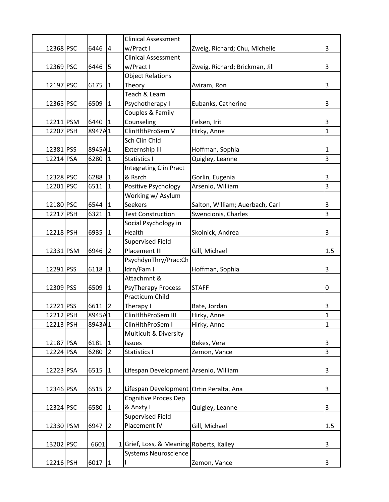|           |           |                | <b>Clinical Assessment</b>               |                                 |              |
|-----------|-----------|----------------|------------------------------------------|---------------------------------|--------------|
| 12368 PSC | 6446      | $\overline{a}$ | w/Pract I                                | Zweig, Richard; Chu, Michelle   | 3            |
|           |           |                | <b>Clinical Assessment</b>               |                                 |              |
| 12369 PSC | 6446      | 5              | w/Pract I                                | Zweig, Richard; Brickman, Jill  | 3            |
|           |           |                | <b>Object Relations</b>                  |                                 |              |
| 12197 PSC | 6175      | $\mathbf{1}$   | Theory                                   | Aviram, Ron                     | 3            |
|           |           |                | Teach & Learn                            |                                 |              |
| 12365 PSC | 6509      | $\mathbf{1}$   | Psychotherapy I                          | Eubanks, Catherine              | 3            |
|           |           |                | Couples & Family                         |                                 |              |
| 12211 PSM | 6440      | $\vert$ 1      | Counseling                               | Felsen, Irit                    | 3            |
| 12207 PSH | 8947A1    |                | ClinHlthProSem V                         | Hirky, Anne                     | $\mathbf{1}$ |
|           |           |                | Sch Clin Chld                            |                                 |              |
| 12381 PSS | 8945A1    |                | Externship III                           | Hoffman, Sophia                 | $\mathbf{1}$ |
| 12214 PSA | 6280      | $\mathbf{1}$   | Statistics I                             | Quigley, Leanne                 | 3            |
|           |           |                | <b>Integrating Clin Pract</b>            |                                 |              |
| 12328 PSC | 6288      | $\mathbf{1}$   | & Rsrch                                  | Gorlin, Eugenia                 | 3            |
| 12201 PSC | 6511      | $\mathbf{1}$   | Positive Psychology                      | Arsenio, William                | 3            |
|           |           |                | Working w/ Asylum                        |                                 |              |
| 12180 PSC | $6544$  1 |                | <b>Seekers</b>                           | Salton, William; Auerbach, Carl | 3            |
| 12217 PSH | 6321      | $ 1\rangle$    | <b>Test Construction</b>                 | Swencionis, Charles             | 3            |
|           |           |                | Social Psychology in                     |                                 |              |
| 12218 PSH | 6935      | $\mathbf{1}$   | Health                                   | Skolnick, Andrea                | 3            |
|           |           |                | <b>Supervised Field</b>                  |                                 |              |
| 12331 PSM | 6946      | 2              | Placement III                            | Gill, Michael                   | 1.5          |
|           |           |                | PsychdynThry/Prac:Ch                     |                                 |              |
| 12291 PSS | 6118      | $ 1\rangle$    | ldrn/Fam I                               | Hoffman, Sophia                 | 3            |
|           |           |                | Attachmnt &                              |                                 |              |
| 12309 PSS | 6509      | $\mathbf{1}$   | <b>PsyTherapy Process</b>                | <b>STAFF</b>                    | 0            |
|           |           |                | Practicum Child                          |                                 |              |
| 12221 PSS | 6611      | $ 2\rangle$    | Therapy I                                | Bate, Jordan                    | 3            |
| 12212 PSH | 8945A1    |                | ClinHlthProSem III                       | Hirky, Anne                     | $\mathbf{1}$ |
| 12213 PSH | 8943A1    |                | ClinHlthProSem I                         | Hirky, Anne                     | $\mathbf{1}$ |
|           |           |                | Multicult & Diversity                    |                                 |              |
| 12187 PSA | 6181      | $\mathbf{1}$   | Issues                                   | Bekes, Vera                     | 3            |
| 12224 PSA | 6280      | $\overline{2}$ | Statistics I                             | Zemon, Vance                    | 3            |
|           |           |                |                                          |                                 |              |
| 12223 PSA | 6515      | $\mathbf{1}$   | Lifespan Development Arsenio, William    |                                 | 3            |
|           |           |                |                                          |                                 |              |
| 12346 PSA | 6515      | $\overline{2}$ | Lifespan Development Ortin Peralta, Ana  |                                 | 3            |
|           |           |                | <b>Cognitive Proces Dep</b>              |                                 |              |
| 12324 PSC | 6580      | $\vert$ 1      | & Anxty I                                | Quigley, Leanne                 | 3            |
|           |           |                | <b>Supervised Field</b>                  |                                 |              |
| 12330 PSM | 6947      | $\vert$ 2      | Placement IV                             | Gill, Michael                   | 1.5          |
|           |           |                |                                          |                                 |              |
| 13202 PSC | 6601      |                | 1 Grief, Loss, & Meaning Roberts, Kailey |                                 | 3            |
|           |           |                | <b>Systems Neuroscience</b>              |                                 |              |
| 12216 PSH | 6017      |                |                                          | Zemon, Vance                    | 3            |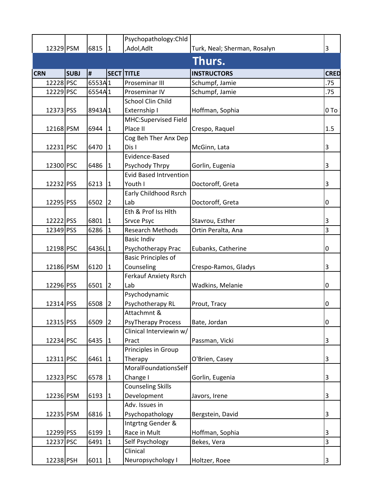|            |             |        |                      | Psychopathology: Chld         |                              |                |
|------------|-------------|--------|----------------------|-------------------------------|------------------------------|----------------|
| 12329 PSM  |             | 6815   | 1                    | ,Adol,Adlt                    | Turk, Neal; Sherman, Rosalyn | 3              |
|            |             |        |                      |                               | Thurs.                       |                |
| <b>CRN</b> | <b>SUBJ</b> | #      |                      | SECT TITLE                    | <b>INSTRUCTORS</b>           | <b>CRED</b>    |
| 12228 PSC  |             | 6553A1 |                      | Proseminar III                | Schumpf, Jamie               | .75            |
| 12229 PSC  |             | 6554A1 |                      | Proseminar IV                 | Schumpf, Jamie               | .75            |
|            |             |        |                      | School Clin Child             |                              |                |
| 12373 PSS  |             | 8943A1 |                      | Externship I                  | Hoffman, Sophia              | 0 To           |
|            |             |        |                      | MHC:Supervised Field          |                              |                |
| 12168 PSM  |             | 6944   | 1                    | Place II                      | Crespo, Raquel               | 1.5            |
|            |             |        |                      | Cog Beh Ther Anx Dep          |                              |                |
| 12231 PSC  |             | 6470   | $ 1\rangle$          | Dis I                         | McGinn, Lata                 | 3              |
|            |             |        |                      | Evidence-Based                |                              |                |
| 12300 PSC  |             | 6486   | $\mathbf{11}$        | Psychody Thrpy                | Gorlin, Eugenia              | 3              |
|            |             |        |                      | <b>Evid Based Intrvention</b> |                              |                |
| 12232 PSS  |             | 6213   | $ 1\rangle$          | Youth I                       | Doctoroff, Greta             | 3              |
|            |             |        |                      | Early Childhood Rsrch         |                              |                |
| 12295 PSS  |             | 6502   | $\vert$ 2            | Lab                           | Doctoroff, Greta             | 0              |
|            |             |        |                      | Eth & Prof Iss Hith           |                              |                |
| 12222 PSS  |             | 6801   | $\mathbf{11}$        | <b>Srvce Psyc</b>             | Stavrou, Esther              | 3              |
| 12349 PSS  |             | 6286   | 1                    | <b>Research Methods</b>       | Ortin Peralta, Ana           | 3              |
|            |             |        |                      | <b>Basic Indiv</b>            |                              |                |
| 12198 PSC  |             | 6436L1 |                      | Psychotherapy Prac            | Eubanks, Catherine           | 0              |
|            |             |        |                      | <b>Basic Principles of</b>    |                              |                |
| 12186 PSM  |             | 6120   | $ 1\rangle$          | Counseling                    | Crespo-Ramos, Gladys         | 3              |
|            |             |        |                      | <b>Ferkauf Anxiety Rsrch</b>  |                              |                |
| 12296 PSS  |             | 6501   | 2                    | Lab                           | Wadkins, Melanie             | 0              |
|            |             |        |                      | Psychodynamic                 |                              |                |
| 12314 PSS  |             | 6508   | $\vert$ 2            | Psychotherapy RL              | Prout, Tracy                 | 0              |
|            |             |        |                      | Attachmnt &                   |                              |                |
| 12315 PSS  |             | 6509   | $\vert$ <sub>2</sub> | <b>PsyTherapy Process</b>     | Bate, Jordan                 | 0              |
|            |             |        |                      | Clinical Interviewin w/       |                              |                |
| 12234 PSC  |             | 6435   | 1                    | Pract                         | Passman, Vicki               | 3              |
|            |             |        |                      | Principles in Group           |                              |                |
| 12311 PSC  |             | 6461   | $ 1\rangle$          | Therapy                       | O'Brien, Casey               | 3              |
|            |             |        |                      | MoralFoundationsSelf          |                              |                |
| 12323 PSC  |             | 6578   | 11                   | Change I                      | Gorlin, Eugenia              | 3              |
|            |             |        |                      | <b>Counseling Skills</b>      |                              |                |
| 12236 PSM  |             | 6193   | $ 1\rangle$          | Development                   | Javors, Irene                | 3              |
|            |             |        |                      | Adv. Issues in                |                              |                |
| 12235 PSM  |             | 6816   | $ 1\rangle$          | Psychopathology               | Bergstein, David             | 3              |
|            |             |        |                      | Intgrtng Gender &             |                              |                |
| 12299 PSS  |             | 6199   | $ 1\rangle$          | Race in Mult                  | Hoffman, Sophia              | 3              |
| 12237 PSC  |             | 6491   | I1                   | Self Psychology               | Bekes, Vera                  | $\overline{3}$ |
|            |             |        |                      | Clinical                      |                              |                |
| 12238 PSH  |             | 6011   | 1                    | Neuropsychology I             | Holtzer, Roee                | 3              |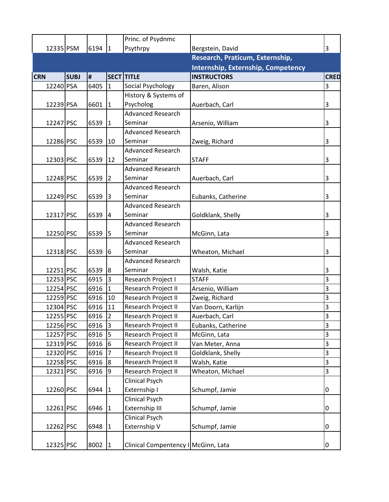|            |             |                |                | Princ. of Psydnmc                   |                                           |             |
|------------|-------------|----------------|----------------|-------------------------------------|-------------------------------------------|-------------|
|            | 12335 PSM   | 6194  1        |                | Psythrpy                            | Bergstein, David                          | 3           |
|            |             |                |                |                                     | Research, Praticum, Externship,           |             |
|            |             |                |                |                                     | <b>Internship, Externship, Competency</b> |             |
| <b>CRN</b> | <b>SUBJ</b> | $\pmb{\sharp}$ |                | <b>SECT TITLE</b>                   | <b>INSTRUCTORS</b>                        | <b>CRED</b> |
| 12240 PSA  |             | 6405           | I1             | Social Psychology                   | Baren, Alison                             | 3           |
|            |             |                |                | History & Systems of                |                                           |             |
| 12239 PSA  |             | 6601           | $\vert$ 1      | Psycholog                           | Auerbach, Carl                            | 3           |
|            |             |                |                | <b>Advanced Research</b>            |                                           |             |
| 12247 PSC  |             | 6539           | $\vert$ 1      | Seminar                             | Arsenio, William                          | 3           |
|            |             |                |                | <b>Advanced Research</b>            |                                           |             |
| 12286 PSC  |             | 6539           | 10             | Seminar                             | Zweig, Richard                            | 3           |
|            |             |                |                | <b>Advanced Research</b>            |                                           |             |
| 12303 PSC  |             | 6539           | <b>12</b>      | Seminar                             | <b>STAFF</b>                              | 3           |
|            |             |                |                | <b>Advanced Research</b>            |                                           |             |
| 12248 PSC  |             | 6539           | <u> 2</u>      | Seminar                             | Auerbach, Carl                            | 3           |
|            |             |                |                | <b>Advanced Research</b>            |                                           |             |
| 12249 PSC  |             | 6539           | 13             | Seminar                             | Eubanks, Catherine                        | 3           |
|            |             |                |                | <b>Advanced Research</b>            |                                           |             |
| 12317 PSC  |             | 6539           | 4              | Seminar                             | Goldklank, Shelly                         | 3           |
|            |             |                |                | <b>Advanced Research</b>            |                                           |             |
| 12250 PSC  |             | 6539           | 15             | Seminar                             | McGinn, Lata                              | 3           |
|            |             |                |                | <b>Advanced Research</b>            |                                           |             |
| 12318 PSC  |             | 6539           | 6              | Seminar                             | Wheaton, Michael                          | 3           |
|            |             |                |                | <b>Advanced Research</b>            |                                           |             |
| 12251 PSC  |             | 6539           | 8              | Seminar                             | Walsh, Katie                              | 3           |
| 12253 PSC  |             | 6915           | l3             | Research Project I                  | <b>STAFF</b>                              | 3           |
| 12254 PSC  |             | 6916           | $\overline{1}$ | Research Project II                 | Arsenio, William                          | 3           |
| 12259 PSC  |             | 6916           | 10             | Research Project II                 | Zweig, Richard                            | 3           |
| 12304 PSC  |             | 6916           | 11             | Research Project II                 | Van Doorn, Karlijn                        | 3           |
| 12255 PSC  |             | 6916 2         |                | Research Project II                 | Auerbach, Carl                            | 3           |
| 12256 PSC  |             | 6916           | l3             | Research Project II                 | Eubanks, Catherine                        | 3           |
| 12257 PSC  |             | 6916           | I5             | Research Project II                 | McGinn, Lata                              | 3           |
| 12319 PSC  |             | 6916           | 16             | Research Project II                 | Van Meter, Anna                           | 3           |
| 12320 PSC  |             | 6916           | 17             | Research Project II                 | Goldklank, Shelly                         | 3           |
| 12258 PSC  |             | 6916           | l8             | Research Project II                 | Walsh, Katie                              | 3           |
| 12321 PSC  |             | 6916           | 19             | Research Project II                 | Wheaton, Michael                          | 3           |
|            |             |                |                | Clinical Psych                      |                                           |             |
| 12260 PSC  |             | 6944           | 1              | Externship I                        | Schumpf, Jamie                            | 0           |
|            |             |                |                | <b>Clinical Psych</b>               |                                           |             |
| 12261 PSC  |             | 6946           | $ 1\rangle$    | Externship III                      | Schumpf, Jamie                            | 0           |
|            |             |                |                | <b>Clinical Psych</b>               |                                           |             |
| 12262 PSC  |             | 6948           | 11             | Externship V                        | Schumpf, Jamie                            | 0           |
|            |             |                |                |                                     |                                           |             |
| 12325 PSC  |             | 8002           | 1              | Clinical Compentency I McGinn, Lata |                                           | 0           |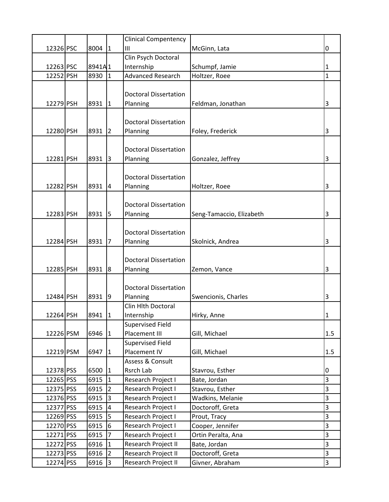|           |           |                | <b>Clinical Compentency</b>              |                          |                |
|-----------|-----------|----------------|------------------------------------------|--------------------------|----------------|
| 12326 PSC | $8004$  1 |                | Ш                                        | McGinn, Lata             | 0              |
|           |           |                | Clin Psych Doctoral                      |                          |                |
| 12263 PSC | 8941A1    |                | Internship                               | Schumpf, Jamie           | 1              |
| 12252 PSH | 8930      | $\mathbf{1}$   | <b>Advanced Research</b>                 | Holtzer, Roee            | $\mathbf{1}$   |
|           |           |                |                                          |                          |                |
|           |           |                | <b>Doctoral Dissertation</b>             |                          |                |
| 12279 PSH | 8931      | $\mathbf{1}$   | Planning                                 | Feldman, Jonathan        | 3              |
|           |           |                |                                          |                          |                |
|           |           |                | <b>Doctoral Dissertation</b>             |                          |                |
| 12280 PSH | 8931      | 2              | Planning                                 | Foley, Frederick         | 3              |
|           |           |                |                                          |                          |                |
|           |           |                | <b>Doctoral Dissertation</b>             |                          |                |
| 12281 PSH | 8931      | $\vert$ 3      | Planning                                 | Gonzalez, Jeffrey        | 3              |
|           |           |                |                                          |                          |                |
|           |           |                | <b>Doctoral Dissertation</b>             |                          |                |
| 12282 PSH | 8931      | 4              | Planning                                 | Holtzer, Roee            | 3              |
|           |           |                |                                          |                          |                |
|           |           |                | <b>Doctoral Dissertation</b>             |                          |                |
| 12283 PSH | 8931      | 15             | Planning                                 | Seng-Tamaccio, Elizabeth | 3              |
|           |           |                |                                          |                          |                |
|           |           |                | <b>Doctoral Dissertation</b>             |                          |                |
| 12284 PSH | 8931      | 7              | Planning                                 | Skolnick, Andrea         | 3              |
|           |           |                |                                          |                          |                |
|           |           |                | <b>Doctoral Dissertation</b>             |                          |                |
| 12285 PSH | 8931 8    |                | Planning                                 | Zemon, Vance             | 3              |
|           |           |                |                                          |                          |                |
|           |           |                | <b>Doctoral Dissertation</b>             |                          |                |
| 12484 PSH | 8931 9    |                | Planning                                 | Swencionis, Charles      | 3              |
|           |           |                | Clin Hlth Doctoral                       |                          |                |
| 12264 PSH | 8941      | 1              | Internship                               | Hirky, Anne              | 1              |
|           |           |                | <b>Supervised Field</b><br>Placement III |                          | 1.5            |
| 12226 PSM | 6946      | $\mathbf{1}$   | <b>Supervised Field</b>                  | Gill, Michael            |                |
| 12219 PSM | 6947      | $\mathbf{1}$   | Placement IV                             | Gill, Michael            | 1.5            |
|           |           |                | Assess & Consult                         |                          |                |
| 12378 PSS | 6500      | $\mathbf{1}$   | Rsrch Lab                                | Stavrou, Esther          | 0              |
| 12265 PSS | 6915      | $\overline{1}$ | Research Project I                       | Bate, Jordan             | $\overline{3}$ |
| 12375 PSS | 6915      | $\overline{2}$ | Research Project I                       | Stavrou, Esther          | 3              |
| 12376 PSS | 6915      | $\overline{3}$ | Research Project I                       | Wadkins, Melanie         | 3              |
| 12377 PSS | 6915      | $\overline{4}$ | Research Project I                       | Doctoroff, Greta         | 3              |
| 12269 PSS | 6915      | $\overline{5}$ | Research Project I                       | Prout, Tracy             | 3              |
| 12270 PSS | 6915      | 6              | Research Project I                       | Cooper, Jennifer         | 3              |
| 12271 PSS | 6915      | $\overline{7}$ | Research Project I                       | Ortin Peralta, Ana       | 3              |
| 12272 PSS | 6916      | $\mathbf{1}$   | Research Project II                      | Bate, Jordan             | 3              |
| 12273 PSS | 6916      | $\overline{2}$ | Research Project II                      | Doctoroff, Greta         | 3              |
| 12274 PSS | 6916      | 3              | Research Project II                      | Givner, Abraham          | $\overline{3}$ |
|           |           |                |                                          |                          |                |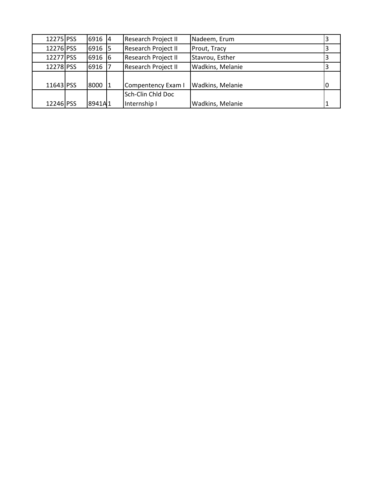| 12275 PSS | 6916 4   | <b>Research Project II</b> | Nadeem, Erum            |   |
|-----------|----------|----------------------------|-------------------------|---|
| 12276 PSS | 6916 5   | Research Project II        | Prout, Tracy            |   |
| 12277 PSS | $6916$ 6 | Research Project II        | Stavrou, Esther         |   |
| 12278 PSS | 6916     | Research Project II        | <b>Wadkins, Melanie</b> | 3 |
|           |          |                            |                         |   |
| 11643 PSS | 8000 1   | Compentency Exam I         | Wadkins, Melanie        |   |
|           |          | Sch-Clin Chld Doc          |                         |   |
| 12246 PSS | 8941A1   | Internship I               | <b>Wadkins, Melanie</b> |   |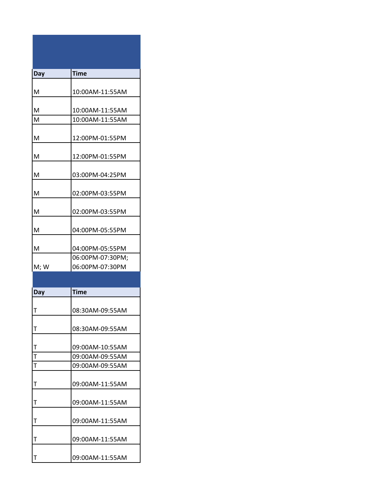| Day  | <b>Time</b>      |
|------|------------------|
|      |                  |
| M    | 10:00AM-11:55AM  |
|      |                  |
| M    | 10:00AM-11:55AM  |
| M    | 10:00AM-11:55AM  |
|      |                  |
| M    | 12:00PM-01:55PM  |
|      |                  |
| M    | 12:00PM-01:55PM  |
|      |                  |
| м    | 03:00PM-04:25PM  |
|      |                  |
| м    | 02:00PM-03:55PM  |
| M    | 02:00PM-03:55PM  |
|      |                  |
| м    | 04:00PM-05:55PM  |
|      |                  |
| M    | 04:00PM-05:55PM  |
|      | 06:00PM-07:30PM; |
| M; W | 06:00PM-07:30PM  |
|      |                  |
|      |                  |

| Day                     | <b>Time</b>     |
|-------------------------|-----------------|
|                         |                 |
| т                       | 08:30AM-09:55AM |
|                         |                 |
| T                       | 08:30AM-09:55AM |
|                         |                 |
| $\mathsf{T}$            | 09:00AM-10:55AM |
| T                       | 09:00AM-09:55AM |
| $\overline{\mathsf{r}}$ | 09:00AM-09:55AM |
|                         |                 |
| Т                       | 09:00AM-11:55AM |
|                         |                 |
| т                       | 09:00AM-11:55AM |
|                         |                 |
| T                       | 09:00AM-11:55AM |
|                         |                 |
| т                       | 09:00AM-11:55AM |
|                         |                 |
| Т                       | 09:00AM-11:55AM |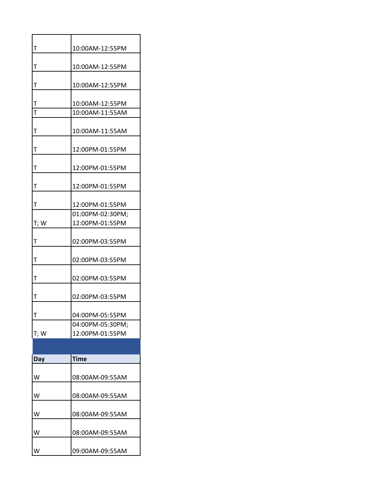| $\mathsf T$  | 10:00AM-12:55PM  |
|--------------|------------------|
|              |                  |
| T            | 10:00AM-12:55PM  |
|              |                  |
| Τ            | 10:00AM-12:55PM  |
| T            | 10:00AM-12:55PM  |
| $\mathsf{T}$ | 10:00AM-11:55AM  |
|              |                  |
| T            | 10:00AM-11:55AM  |
|              |                  |
| Τ            | 12:00PM-01:55PM  |
|              |                  |
| T            | 12:00PM-01:55PM  |
|              |                  |
| T            | 12:00PM-01:55PM  |
|              |                  |
| $\mathsf T$  | 12:00PM-01:55PM  |
|              | 01:00PM-02:30PM; |
| T; W         | 12:00PM-01:55PM  |
| T            | 02:00PM-03:55PM  |
|              |                  |
| T            | 02:00PM-03:55PM  |
|              |                  |
| Т            | 02:00PM-03:55PM  |
|              |                  |
| $\mathsf T$  | 02:00PM-03:55PM  |
|              |                  |
| T            | 04:00PM-05:55PM  |
|              | 04:00PM-05:30PM; |
| T; W         | 12:00PM-01:55PM  |
|              |                  |
| Day          | <b>Time</b>      |
|              |                  |
| w            | 08:00AM-09:55AM  |

| w | 08:00AM-09:55AM |
|---|-----------------|
|   |                 |
| w | 08:00AM-09:55AM |
|   |                 |
| w | 08:00AM-09:55AM |
|   |                 |
| w | 08:00AM-09:55AM |
|   |                 |
|   | 09:00AM-09:55AM |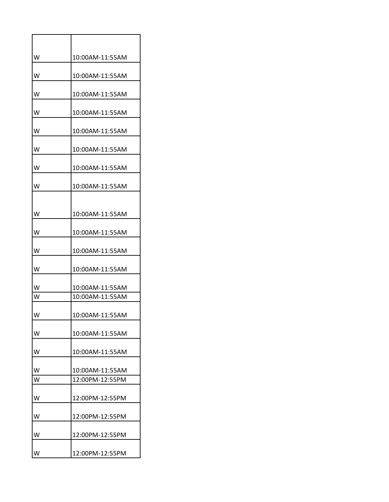| w | 10:00AM-11:55AM |
|---|-----------------|
| w | 10:00AM-11:55AM |
| w | 10:00AM-11:55AM |
| W | 10:00AM-11:55AM |
| w | 10:00AM-11:55AM |
| w | 10:00AM-11:55AM |
| w | 10:00AM-11:55AM |
| w | 10:00AM-11:55AM |
| w | 10:00AM-11:55AM |
| w | 10:00AM-11:55AM |
| W | 10:00AM-11:55AM |
| w | 10:00AM-11:55AM |
| w | 10:00AM-11:55AM |
| W | 10:00AM-11:55AM |
| w | 10:00AM-11:55AM |
| w | 10:00AM-11:55AM |
| w | 10:00AM-11:55AM |
| W | 10:00AM-11:55AM |
| W | 12:00PM-12:55PM |
| w | 12:00PM-12:55PM |
| w | 12:00PM-12:55PM |
| w | 12:00PM-12:55PM |
| W | 12:00PM-12:55PM |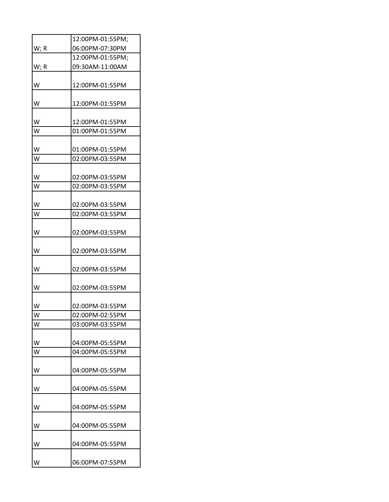|      | 12:00PM-01:55PM; |
|------|------------------|
| W; R | 06:00PM-07:30PM  |
|      | 12:00PM-01:55PM; |
| W; R | 09:30AM-11:00AM  |
| w    | 12:00PM-01:55PM  |
| W    | 12:00PM-01:55PM  |
| W    | 12:00PM-01:55PM  |
| W    | 01:00PM-01:55PM  |
| w    | 01:00PM-01:55PM  |
| W    | 02:00PM-03:55PM  |
| W    | 02:00PM-03:55PM  |
| W    | 02:00PM-03:55PM  |
| W    | 02:00PM-03:55PM  |
| W    | 02:00PM-03:55PM  |
| w    | 02:00PM-03:55PM  |
| w    | 02:00PM-03:55PM  |
| W    | 02:00PM-03:55PM  |
| W    | 02:00PM-03:55PM  |
| W    | 02:00PM-03:55PM  |
| W    | 02:00PM-02:55PM  |
| W    | 03:00PM-03:55PM  |
| w    | 04:00PM-05:55PM  |
| W    | 04:00PM-05:55PM  |
| w    | 04:00PM-05:55PM  |
| w    | 04:00PM-05:55PM  |
| w    | 04:00PM-05:55PM  |
| w    | 04:00PM-05:55PM  |
| w    | 04:00PM-05:55PM  |
| w    | 06:00PM-07:55PM  |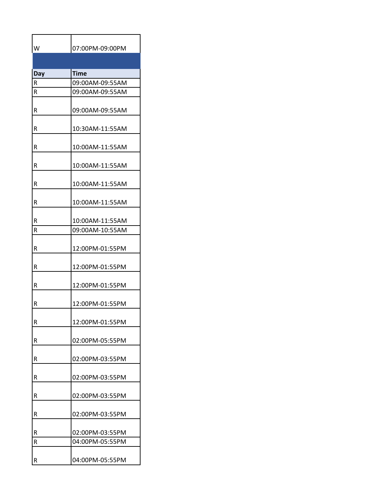| w              | 07:00PM-09:00PM |
|----------------|-----------------|
|                |                 |
| Day            | Time            |
| $\overline{R}$ | 09:00AM-09:55AM |
|                |                 |
| R              | 09:00AM-09:55AM |
| R              | 09:00AM-09:55AM |
| R              | 10:30AM-11:55AM |
| R              | 10:00AM-11:55AM |
| R              | 10:00AM-11:55AM |
| R              | 10:00AM-11:55AM |
| R              | 10:00AM-11:55AM |
| R              | 10:00AM-11:55AM |
| R              | 09:00AM-10:55AM |
| R              | 12:00PM-01:55PM |
| R              | 12:00PM-01:55PM |
| R              | 12:00PM-01:55PM |
| R              | 12:00PM-01:55PM |
| R              | 12:00PM-01:55PM |
| R              | 02:00PM-05:55PM |
| R              | 02:00PM-03:55PM |
| R              | 02:00PM-03:55PM |
| R              | 02:00PM-03:55PM |
| R              | 02:00PM-03:55PM |
| R              | 02:00PM-03:55PM |
| R              | 04:00PM-05:55PM |
| R              | 04:00PM-05:55PM |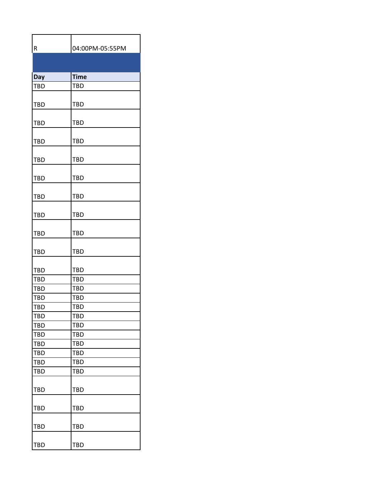| R          | 04:00PM-05:55PM |
|------------|-----------------|
|            |                 |
| Day        | <b>Time</b>     |
| <b>TBD</b> | <b>TBD</b>      |
| TBD        | <b>TBD</b>      |
| <b>TBD</b> | <b>TBD</b>      |
| TBD        | <b>TBD</b>      |
| <b>TBD</b> | TBD             |
| <b>TBD</b> | TBD             |
| <b>TBD</b> | <b>TBD</b>      |
| <b>TBD</b> | <b>TBD</b>      |
| TBD        | <b>TBD</b>      |
| <b>TBD</b> | TBD             |
| <b>TBD</b> | <b>TBD</b>      |
| TBD        | <b>TBD</b>      |
| <b>TBD</b> | <b>TBD</b>      |
| <b>TBD</b> | TBD             |
| TBD        | <b>TBD</b>      |
| <b>TBD</b> | <b>TBD</b>      |
| <b>TBD</b> | <b>TBD</b>      |
| <b>TBD</b> | <b>TBD</b>      |
| <b>TBD</b> | <b>TBD</b>      |
| <b>TBD</b> | <b>TBD</b>      |
| TBD        | TBD             |
| <b>TBD</b> | <b>TBD</b>      |
| <b>TBD</b> | <b>TBD</b>      |
| <b>TBD</b> | <b>TBD</b>      |
| <b>TBD</b> | <b>TBD</b>      |
| <b>TBD</b> | TBD             |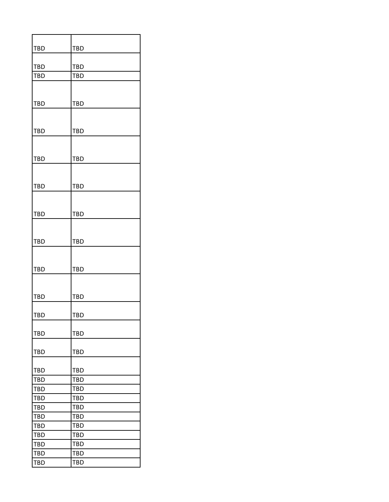| TBD                      | <b>TBD</b>               |
|--------------------------|--------------------------|
|                          |                          |
| <b>TBD</b>               | <b>TBD</b>               |
| TBD                      | TBD                      |
|                          |                          |
|                          |                          |
| <b>TBD</b>               | TBD                      |
|                          |                          |
| <b>TBD</b>               | <b>TBD</b>               |
|                          |                          |
|                          |                          |
| <b>TBD</b>               | <b>TBD</b>               |
|                          |                          |
|                          |                          |
| <b>TBD</b>               | <b>TBD</b>               |
|                          |                          |
|                          |                          |
| <b>TBD</b>               | TBD                      |
|                          |                          |
|                          |                          |
| <b>TBD</b>               | <b>TBD</b>               |
|                          |                          |
|                          |                          |
| <b>TBD</b>               | <b>TBD</b>               |
|                          |                          |
|                          |                          |
| <b>TBD</b>               | TBD                      |
|                          |                          |
| TBD                      | <b>TBD</b>               |
|                          |                          |
| <b>TBD</b>               | <b>TBD</b>               |
|                          |                          |
| <b>TBD</b>               | <b>TBD</b>               |
|                          |                          |
| <b>TBD</b><br><b>TBD</b> | <b>TBD</b><br><b>TBD</b> |
| <b>TBD</b>               | <b>TBD</b>               |
| <b>TBD</b>               | <b>TBD</b>               |
| <b>TBD</b>               | <b>TBD</b>               |
| <b>TBD</b>               | <b>TBD</b>               |
| <b>TBD</b>               | <b>TBD</b>               |
| TBD                      | TBD                      |
| <b>TBD</b>               | <b>TBD</b>               |
| <b>TBD</b>               | <b>TBD</b>               |
| <b>TBD</b>               | <b>TBD</b>               |
|                          |                          |